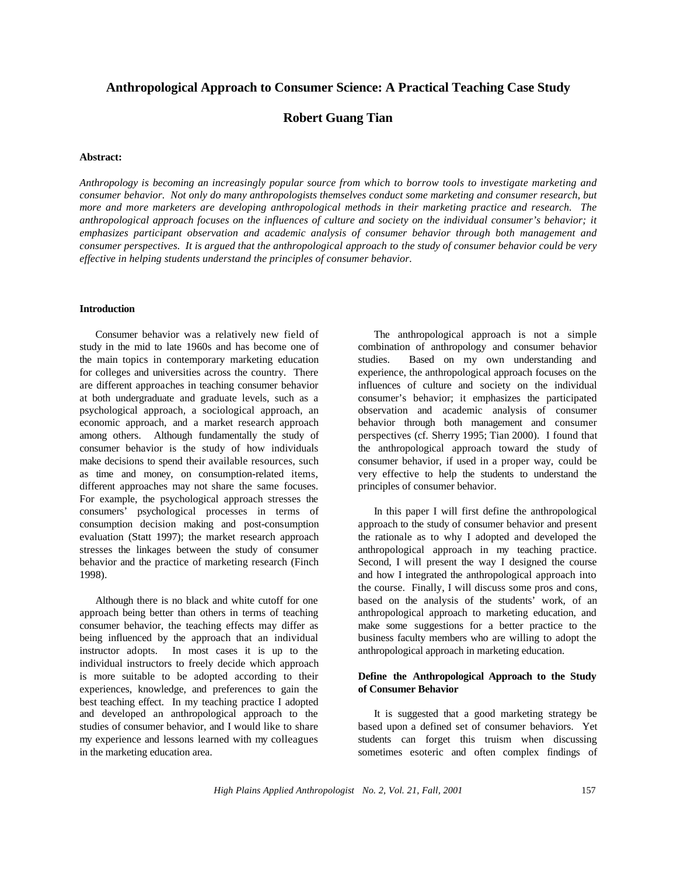# **Anthropological Approach to Consumer Science: A Practical Teaching Case Study**

# **Robert Guang Tian**

## **Abstract:**

*Anthropology is becoming an increasingly popular source from which to borrow tools to investigate marketing and consumer behavior. Not only do many anthropologists themselves conduct some marketing and consumer research, but more and more marketers are developing anthropological methods in their marketing practice and research. The* anthropological approach focuses on the influences of culture and society on the individual consumer's behavior; it *emphasizes participant observation and academic analysis of consumer behavior through both management and consumer perspectives. It is argued that the anthropological approach to the study of consumer behavior could be very effective in helping students understand the principles of consumer behavior.*

#### **Introduction**

Consumer behavior was a relatively new field of study in the mid to late 1960s and has become one of the main topics in contemporary marketing education for colleges and universities across the country. There are different approaches in teaching consumer behavior at both undergraduate and graduate levels, such as a psychological approach, a sociological approach, an economic approach, and a market research approach among others. Although fundamentally the study of consumer behavior is the study of how individuals make decisions to spend their available resources, such as time and money, on consumption-related items, different approaches may not share the same focuses. For example, the psychological approach stresses the consumers' psychological processes in terms of consumption decision making and post-consumption evaluation (Statt 1997); the market research approach stresses the linkages between the study of consumer behavior and the practice of marketing research (Finch 1998).

Although there is no black and white cutoff for one approach being better than others in terms of teaching consumer behavior, the teaching effects may differ as being influenced by the approach that an individual instructor adopts. In most cases it is up to the individual instructors to freely decide which approach is more suitable to be adopted according to their experiences, knowledge, and preferences to gain the best teaching effect. In my teaching practice I adopted and developed an anthropological approach to the studies of consumer behavior, and I would like to share my experience and lessons learned with my colleagues in the marketing education area.

The anthropological approach is not a simple combination of anthropology and consumer behavior studies. Based on my own understanding and experience, the anthropological approach focuses on the influences of culture and society on the individual consumer's behavior; it emphasizes the participated observation and academic analysis of consumer behavior through both management and consumer perspectives (cf. Sherry 1995; Tian 2000). I found that the anthropological approach toward the study of consumer behavior, if used in a proper way, could be very effective to help the students to understand the principles of consumer behavior.

In this paper I will first define the anthropological approach to the study of consumer behavior and present the rationale as to why I adopted and developed the anthropological approach in my teaching practice. Second, I will present the way I designed the course and how I integrated the anthropological approach into the course. Finally, I will discuss some pros and cons, based on the analysis of the students' work, of an anthropological approach to marketing education, and make some suggestions for a better practice to the business faculty members who are willing to adopt the anthropological approach in marketing education.

## **Define the Anthropological Approach to the Study of Consumer Behavior**

It is suggested that a good marketing strategy be based upon a defined set of consumer behaviors. Yet students can forget this truism when discussing sometimes esoteric and often complex findings of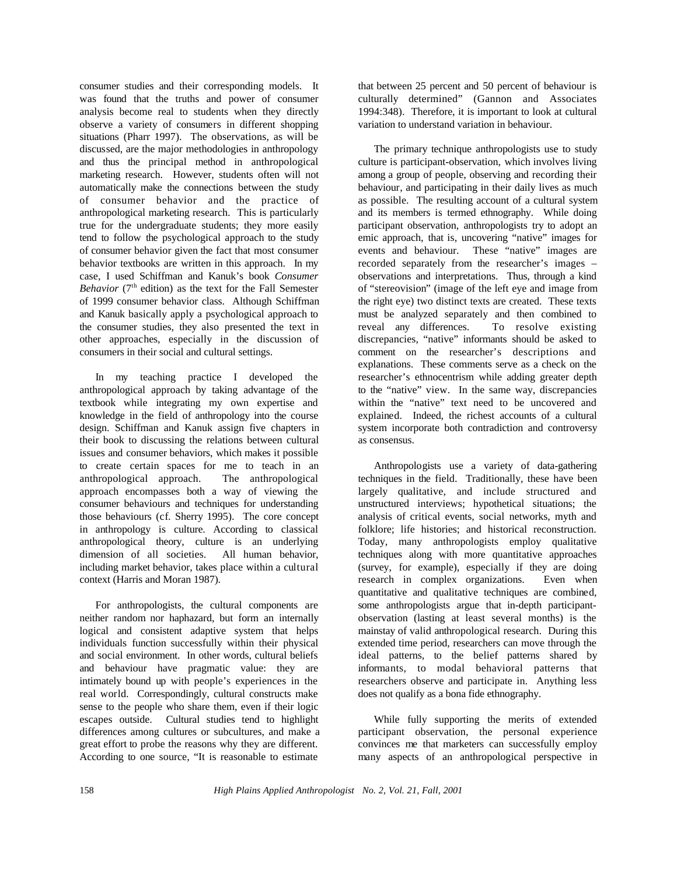consumer studies and their corresponding models. It was found that the truths and power of consumer analysis become real to students when they directly observe a variety of consumers in different shopping situations (Pharr 1997). The observations, as will be discussed, are the major methodologies in anthropology and thus the principal method in anthropological marketing research. However, students often will not automatically make the connections between the study of consumer behavior and the practice of anthropological marketing research. This is particularly true for the undergraduate students; they more easily tend to follow the psychological approach to the study of consumer behavior given the fact that most consumer behavior textbooks are written in this approach. In my case, I used Schiffman and Kanuk's book *Consumer Behavior* ( $7<sup>th</sup>$  edition) as the text for the Fall Semester of 1999 consumer behavior class. Although Schiffman and Kanuk basically apply a psychological approach to the consumer studies, they also presented the text in other approaches, especially in the discussion of consumers in their social and cultural settings.

In my teaching practice I developed the anthropological approach by taking advantage of the textbook while integrating my own expertise and knowledge in the field of anthropology into the course design. Schiffman and Kanuk assign five chapters in their book to discussing the relations between cultural issues and consumer behaviors, which makes it possible to create certain spaces for me to teach in an anthropological approach. The anthropological approach encompasses both a way of viewing the consumer behaviours and techniques for understanding those behaviours (cf. Sherry 1995). The core concept in anthropology is culture. According to classical anthropological theory, culture is an underlying dimension of all societies. All human behavior, including market behavior, takes place within a cultural context (Harris and Moran 1987).

For anthropologists, the cultural components are neither random nor haphazard, but form an internally logical and consistent adaptive system that helps individuals function successfully within their physical and social environment. In other words, cultural beliefs and behaviour have pragmatic value: they are intimately bound up with people's experiences in the real world. Correspondingly, cultural constructs make sense to the people who share them, even if their logic escapes outside. Cultural studies tend to highlight differences among cultures or subcultures, and make a great effort to probe the reasons why they are different. According to one source, "It is reasonable to estimate

that between 25 percent and 50 percent of behaviour is culturally determined" (Gannon and Associates 1994:348). Therefore, it is important to look at cultural variation to understand variation in behaviour.

The primary technique anthropologists use to study culture is participant-observation, which involves living among a group of people, observing and recording their behaviour, and participating in their daily lives as much as possible. The resulting account of a cultural system and its members is termed ethnography. While doing participant observation, anthropologists try to adopt an emic approach, that is, uncovering "native" images for events and behaviour. These "native" images are recorded separately from the researcher's images – observations and interpretations. Thus, through a kind of "stereovision" (image of the left eye and image from the right eye) two distinct texts are created. These texts must be analyzed separately and then combined to reveal any differences. To resolve existing discrepancies, "native" informants should be asked to comment on the researcher's descriptions and explanations. These comments serve as a check on the researcher's ethnocentrism while adding greater depth to the "native" view. In the same way, discrepancies within the "native" text need to be uncovered and explained. Indeed, the richest accounts of a cultural system incorporate both contradiction and controversy as consensus.

Anthropologists use a variety of data-gathering techniques in the field. Traditionally, these have been largely qualitative, and include structured and unstructured interviews; hypothetical situations; the analysis of critical events, social networks, myth and folklore; life histories; and historical reconstruction. Today, many anthropologists employ qualitative techniques along with more quantitative approaches (survey, for example), especially if they are doing research in complex organizations. Even when quantitative and qualitative techniques are combined, some anthropologists argue that in-depth participantobservation (lasting at least several months) is the mainstay of valid anthropological research. During this extended time period, researchers can move through the ideal patterns, to the belief patterns shared by informants, to modal behavioral patterns that researchers observe and participate in. Anything less does not qualify as a bona fide ethnography.

While fully supporting the merits of extended participant observation, the personal experience convinces me that marketers can successfully employ many aspects of an anthropological perspective in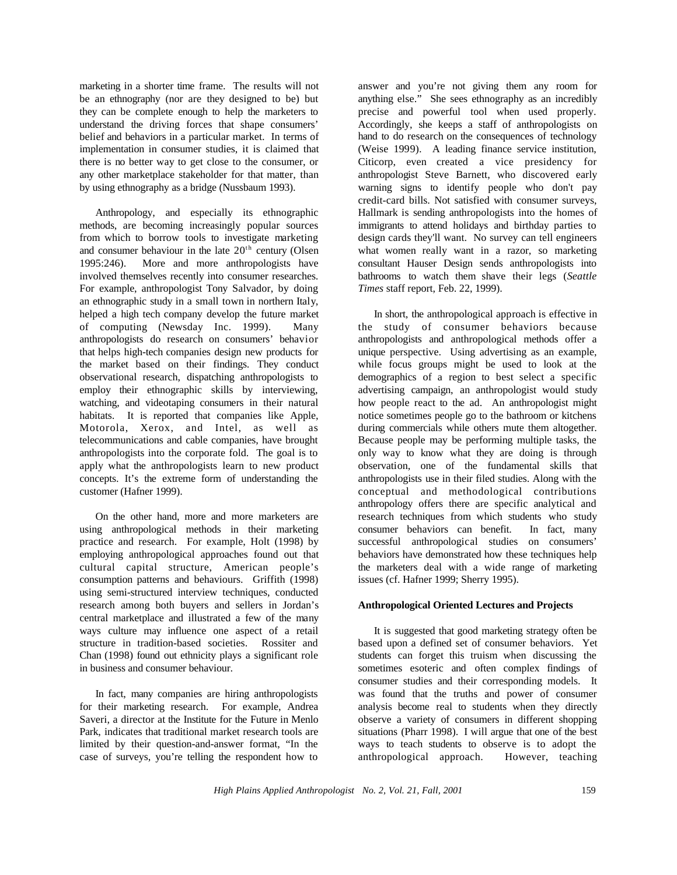marketing in a shorter time frame. The results will not be an ethnography (nor are they designed to be) but they can be complete enough to help the marketers to understand the driving forces that shape consumers' belief and behaviors in a particular market. In terms of implementation in consumer studies, it is claimed that there is no better way to get close to the consumer, or any other marketplace stakeholder for that matter, than by using ethnography as a bridge (Nussbaum 1993).

Anthropology, and especially its ethnographic methods, are becoming increasingly popular sources from which to borrow tools to investigate marketing and consumer behaviour in the late  $20<sup>th</sup>$  century (Olsen 1995:246). More and more anthropologists have involved themselves recently into consumer researches. For example, anthropologist Tony Salvador, by doing an ethnographic study in a small town in northern Italy, helped a high tech company develop the future market of computing (Newsday Inc. 1999). Many anthropologists do research on consumers' behavior that helps high-tech companies design new products for the market based on their findings. They conduct observational research, dispatching anthropologists to employ their ethnographic skills by interviewing, watching, and videotaping consumers in their natural habitats. It is reported that companies like Apple, Motorola, Xerox, and Intel, as well as telecommunications and cable companies, have brought anthropologists into the corporate fold. The goal is to apply what the anthropologists learn to new product concepts. It's the extreme form of understanding the customer (Hafner 1999).

On the other hand, more and more marketers are using anthropological methods in their marketing practice and research. For example, Holt (1998) by employing anthropological approaches found out that cultural capital structure, American people's consumption patterns and behaviours. Griffith (1998) using semi-structured interview techniques, conducted research among both buyers and sellers in Jordan's central marketplace and illustrated a few of the many ways culture may influence one aspect of a retail structure in tradition-based societies. Rossiter and Chan (1998) found out ethnicity plays a significant role in business and consumer behaviour.

In fact, many companies are hiring anthropologists for their marketing research. For example, Andrea Saveri, a director at the Institute for the Future in Menlo Park, indicates that traditional market research tools are limited by their question-and-answer format, "In the case of surveys, you're telling the respondent how to answer and you're not giving them any room for anything else." She sees ethnography as an incredibly precise and powerful tool when used properly. Accordingly, she keeps a staff of anthropologists on hand to do research on the consequences of technology (Weise 1999). A leading finance service institution, Citicorp, even created a vice presidency for anthropologist Steve Barnett, who discovered early warning signs to identify people who don't pay credit-card bills. Not satisfied with consumer surveys, Hallmark is sending anthropologists into the homes of immigrants to attend holidays and birthday parties to design cards they'll want. No survey can tell engineers what women really want in a razor, so marketing consultant Hauser Design sends anthropologists into bathrooms to watch them shave their legs (*Seattle Times* staff report, Feb. 22, 1999).

In short, the anthropological approach is effective in the study of consumer behaviors because anthropologists and anthropological methods offer a unique perspective. Using advertising as an example, while focus groups might be used to look at the demographics of a region to best select a specific advertising campaign, an anthropologist would study how people react to the ad. An anthropologist might notice sometimes people go to the bathroom or kitchens during commercials while others mute them altogether. Because people may be performing multiple tasks, the only way to know what they are doing is through observation, one of the fundamental skills that anthropologists use in their filed studies. Along with the conceptual and methodological contributions anthropology offers there are specific analytical and research techniques from which students who study consumer behaviors can benefit. In fact, many successful anthropological studies on consumers' behaviors have demonstrated how these techniques help the marketers deal with a wide range of marketing issues (cf. Hafner 1999; Sherry 1995).

## **Anthropological Oriented Lectures and Projects**

It is suggested that good marketing strategy often be based upon a defined set of consumer behaviors. Yet students can forget this truism when discussing the sometimes esoteric and often complex findings of consumer studies and their corresponding models. It was found that the truths and power of consumer analysis become real to students when they directly observe a variety of consumers in different shopping situations (Pharr 1998). I will argue that one of the best ways to teach students to observe is to adopt the anthropological approach. However, teaching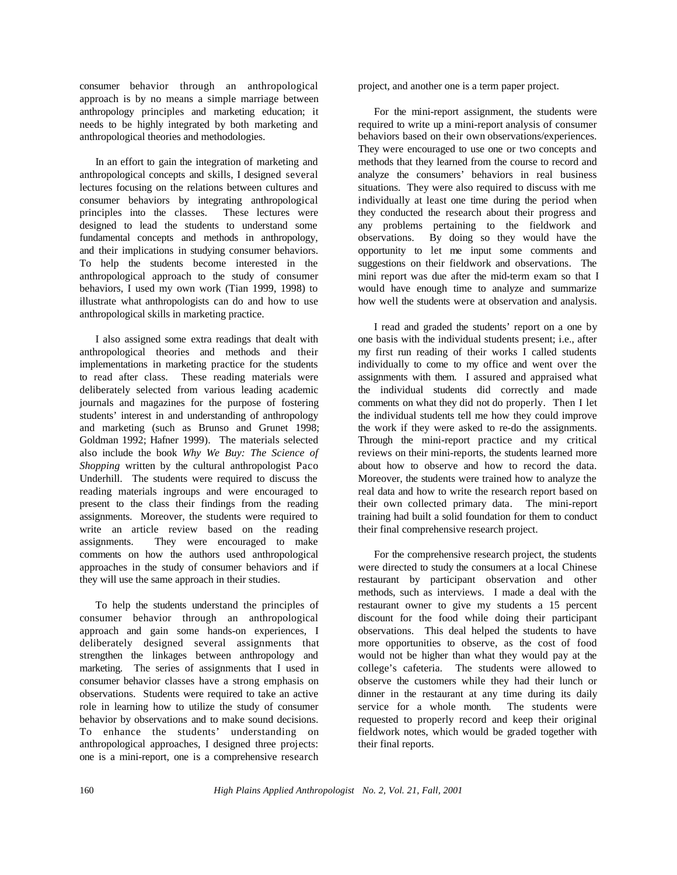consumer behavior through an anthropological approach is by no means a simple marriage between anthropology principles and marketing education; it needs to be highly integrated by both marketing and anthropological theories and methodologies.

In an effort to gain the integration of marketing and anthropological concepts and skills, I designed several lectures focusing on the relations between cultures and consumer behaviors by integrating anthropological principles into the classes. These lectures were designed to lead the students to understand some fundamental concepts and methods in anthropology, and their implications in studying consumer behaviors. To help the students become interested in the anthropological approach to the study of consumer behaviors, I used my own work (Tian 1999, 1998) to illustrate what anthropologists can do and how to use anthropological skills in marketing practice.

I also assigned some extra readings that dealt with anthropological theories and methods and their implementations in marketing practice for the students to read after class. These reading materials were deliberately selected from various leading academic journals and magazines for the purpose of fostering students' interest in and understanding of anthropology and marketing (such as Brunso and Grunet 1998; Goldman 1992; Hafner 1999). The materials selected also include the book *Why We Buy: The Science of Shopping* written by the cultural anthropologist Paco Underhill. The students were required to discuss the reading materials ingroups and were encouraged to present to the class their findings from the reading assignments. Moreover, the students were required to write an article review based on the reading assignments. They were encouraged to make comments on how the authors used anthropological approaches in the study of consumer behaviors and if they will use the same approach in their studies.

To help the students understand the principles of consumer behavior through an anthropological approach and gain some hands-on experiences, I deliberately designed several assignments that strengthen the linkages between anthropology and marketing. The series of assignments that I used in consumer behavior classes have a strong emphasis on observations. Students were required to take an active role in learning how to utilize the study of consumer behavior by observations and to make sound decisions. To enhance the students' understanding on anthropological approaches, I designed three projects: one is a mini-report, one is a comprehensive research

project, and another one is a term paper project.

For the mini-report assignment, the students were required to write up a mini-report analysis of consumer behaviors based on their own observations/experiences. They were encouraged to use one or two concepts and methods that they learned from the course to record and analyze the consumers' behaviors in real business situations. They were also required to discuss with me individually at least one time during the period when they conducted the research about their progress and any problems pertaining to the fieldwork and observations. By doing so they would have the opportunity to let me input some comments and suggestions on their fieldwork and observations. The mini report was due after the mid-term exam so that I would have enough time to analyze and summarize how well the students were at observation and analysis.

I read and graded the students' report on a one by one basis with the individual students present; i.e., after my first run reading of their works I called students individually to come to my office and went over the assignments with them. I assured and appraised what the individual students did correctly and made comments on what they did not do properly. Then I let the individual students tell me how they could improve the work if they were asked to re-do the assignments. Through the mini-report practice and my critical reviews on their mini-reports, the students learned more about how to observe and how to record the data. Moreover, the students were trained how to analyze the real data and how to write the research report based on their own collected primary data. The mini-report training had built a solid foundation for them to conduct their final comprehensive research project.

For the comprehensive research project, the students were directed to study the consumers at a local Chinese restaurant by participant observation and other methods, such as interviews. I made a deal with the restaurant owner to give my students a 15 percent discount for the food while doing their participant observations. This deal helped the students to have more opportunities to observe, as the cost of food would not be higher than what they would pay at the college's cafeteria. The students were allowed to observe the customers while they had their lunch or dinner in the restaurant at any time during its daily service for a whole month. The students were requested to properly record and keep their original fieldwork notes, which would be graded together with their final reports.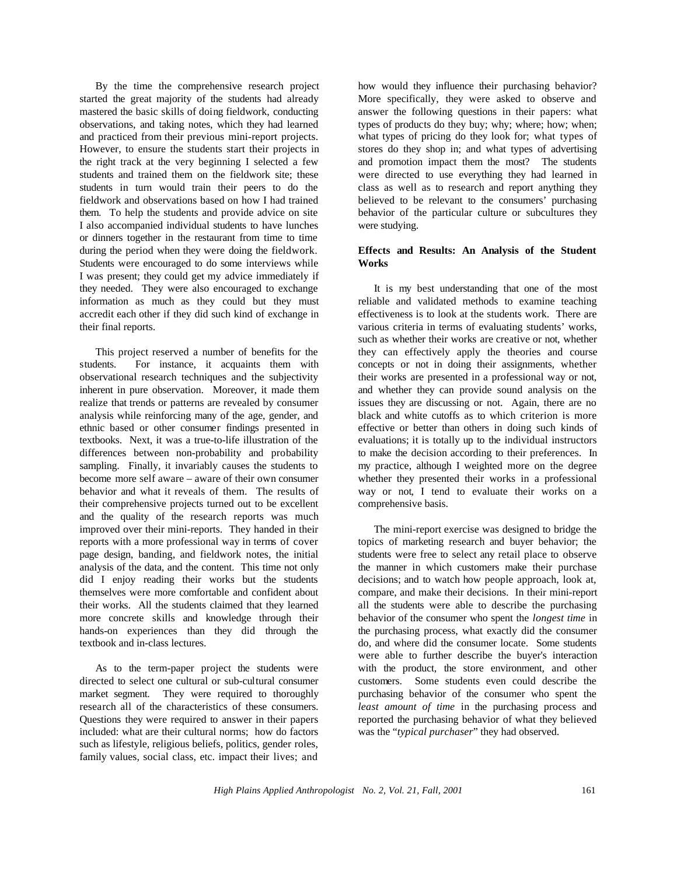By the time the comprehensive research project started the great majority of the students had already mastered the basic skills of doing fieldwork, conducting observations, and taking notes, which they had learned and practiced from their previous mini-report projects. However, to ensure the students start their projects in the right track at the very beginning I selected a few students and trained them on the fieldwork site; these students in turn would train their peers to do the fieldwork and observations based on how I had trained them. To help the students and provide advice on site I also accompanied individual students to have lunches or dinners together in the restaurant from time to time during the period when they were doing the fieldwork. Students were encouraged to do some interviews while I was present; they could get my advice immediately if they needed. They were also encouraged to exchange information as much as they could but they must accredit each other if they did such kind of exchange in their final reports.

This project reserved a number of benefits for the students. For instance, it acquaints them with observational research techniques and the subjectivity inherent in pure observation. Moreover, it made them realize that trends or patterns are revealed by consumer analysis while reinforcing many of the age, gender, and ethnic based or other consumer findings presented in textbooks. Next, it was a true-to-life illustration of the differences between non-probability and probability sampling. Finally, it invariably causes the students to become more self aware – aware of their own consumer behavior and what it reveals of them. The results of their comprehensive projects turned out to be excellent and the quality of the research reports was much improved over their mini-reports. They handed in their reports with a more professional way in terms of cover page design, banding, and fieldwork notes, the initial analysis of the data, and the content. This time not only did I enjoy reading their works but the students themselves were more comfortable and confident about their works. All the students claimed that they learned more concrete skills and knowledge through their hands-on experiences than they did through the textbook and in-class lectures.

As to the term-paper project the students were directed to select one cultural or sub-cultural consumer market segment. They were required to thoroughly research all of the characteristics of these consumers. Questions they were required to answer in their papers included: what are their cultural norms; how do factors such as lifestyle, religious beliefs, politics, gender roles, family values, social class, etc. impact their lives; and

how would they influence their purchasing behavior? More specifically, they were asked to observe and answer the following questions in their papers: what types of products do they buy; why; where; how; when; what types of pricing do they look for; what types of stores do they shop in; and what types of advertising and promotion impact them the most? The students were directed to use everything they had learned in class as well as to research and report anything they believed to be relevant to the consumers' purchasing behavior of the particular culture or subcultures they were studying.

## **Effects and Results: An Analysis of the Student Works**

It is my best understanding that one of the most reliable and validated methods to examine teaching effectiveness is to look at the students work. There are various criteria in terms of evaluating students' works, such as whether their works are creative or not, whether they can effectively apply the theories and course concepts or not in doing their assignments, whether their works are presented in a professional way or not, and whether they can provide sound analysis on the issues they are discussing or not. Again, there are no black and white cutoffs as to which criterion is more effective or better than others in doing such kinds of evaluations; it is totally up to the individual instructors to make the decision according to their preferences. In my practice, although I weighted more on the degree whether they presented their works in a professional way or not, I tend to evaluate their works on a comprehensive basis.

The mini-report exercise was designed to bridge the topics of marketing research and buyer behavior; the students were free to select any retail place to observe the manner in which customers make their purchase decisions; and to watch how people approach, look at, compare, and make their decisions. In their mini-report all the students were able to describe the purchasing behavior of the consumer who spent the *longest time* in the purchasing process, what exactly did the consumer do, and where did the consumer locate. Some students were able to further describe the buyer's interaction with the product, the store environment, and other customers. Some students even could describe the purchasing behavior of the consumer who spent the *least amount of time* in the purchasing process and reported the purchasing behavior of what they believed was the "*typical purchaser*" they had observed.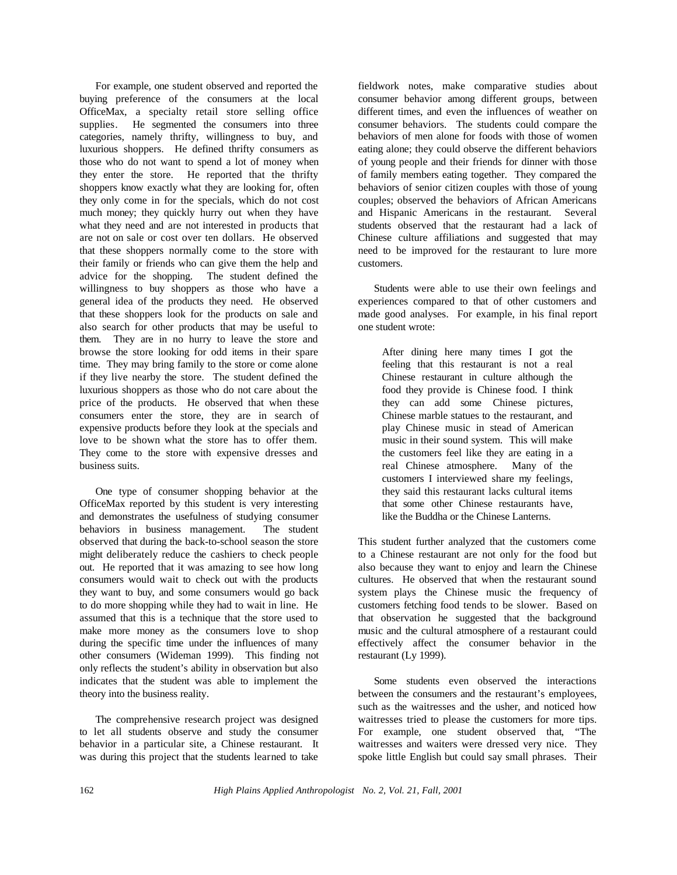For example, one student observed and reported the buying preference of the consumers at the local OfficeMax, a specialty retail store selling office supplies. He segmented the consumers into three categories, namely thrifty, willingness to buy, and luxurious shoppers. He defined thrifty consumers as those who do not want to spend a lot of money when they enter the store. He reported that the thrifty shoppers know exactly what they are looking for, often they only come in for the specials, which do not cost much money; they quickly hurry out when they have what they need and are not interested in products that are not on sale or cost over ten dollars. He observed that these shoppers normally come to the store with their family or friends who can give them the help and advice for the shopping. The student defined the willingness to buy shoppers as those who have a general idea of the products they need. He observed that these shoppers look for the products on sale and also search for other products that may be useful to them. They are in no hurry to leave the store and browse the store looking for odd items in their spare time. They may bring family to the store or come alone if they live nearby the store. The student defined the luxurious shoppers as those who do not care about the price of the products. He observed that when these consumers enter the store, they are in search of expensive products before they look at the specials and love to be shown what the store has to offer them. They come to the store with expensive dresses and business suits.

One type of consumer shopping behavior at the OfficeMax reported by this student is very interesting and demonstrates the usefulness of studying consumer behaviors in business management. The student observed that during the back-to-school season the store might deliberately reduce the cashiers to check people out. He reported that it was amazing to see how long consumers would wait to check out with the products they want to buy, and some consumers would go back to do more shopping while they had to wait in line. He assumed that this is a technique that the store used to make more money as the consumers love to shop during the specific time under the influences of many other consumers (Wideman 1999). This finding not only reflects the student's ability in observation but also indicates that the student was able to implement the theory into the business reality.

The comprehensive research project was designed to let all students observe and study the consumer behavior in a particular site, a Chinese restaurant. It was during this project that the students learned to take

fieldwork notes, make comparative studies about consumer behavior among different groups, between different times, and even the influences of weather on consumer behaviors. The students could compare the behaviors of men alone for foods with those of women eating alone; they could observe the different behaviors of young people and their friends for dinner with those of family members eating together. They compared the behaviors of senior citizen couples with those of young couples; observed the behaviors of African Americans and Hispanic Americans in the restaurant. Several students observed that the restaurant had a lack of Chinese culture affiliations and suggested that may need to be improved for the restaurant to lure more customers.

Students were able to use their own feelings and experiences compared to that of other customers and made good analyses. For example, in his final report one student wrote:

After dining here many times I got the feeling that this restaurant is not a real Chinese restaurant in culture although the food they provide is Chinese food. I think they can add some Chinese pictures, Chinese marble statues to the restaurant, and play Chinese music in stead of American music in their sound system. This will make the customers feel like they are eating in a real Chinese atmosphere. Many of the customers I interviewed share my feelings, they said this restaurant lacks cultural items that some other Chinese restaurants have, like the Buddha or the Chinese Lanterns.

This student further analyzed that the customers come to a Chinese restaurant are not only for the food but also because they want to enjoy and learn the Chinese cultures. He observed that when the restaurant sound system plays the Chinese music the frequency of customers fetching food tends to be slower. Based on that observation he suggested that the background music and the cultural atmosphere of a restaurant could effectively affect the consumer behavior in the restaurant (Ly 1999).

Some students even observed the interactions between the consumers and the restaurant's employees, such as the waitresses and the usher, and noticed how waitresses tried to please the customers for more tips. For example, one student observed that, "The waitresses and waiters were dressed very nice. They spoke little English but could say small phrases. Their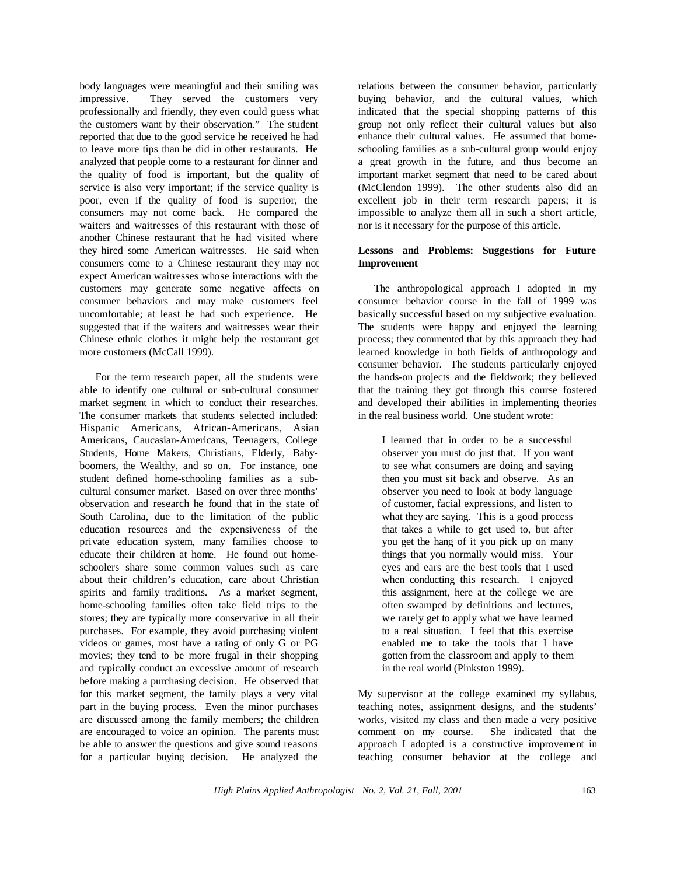body languages were meaningful and their smiling was impressive. They served the customers very professionally and friendly, they even could guess what the customers want by their observation." The student reported that due to the good service he received he had to leave more tips than he did in other restaurants. He analyzed that people come to a restaurant for dinner and the quality of food is important, but the quality of service is also very important; if the service quality is poor, even if the quality of food is superior, the consumers may not come back. He compared the waiters and waitresses of this restaurant with those of another Chinese restaurant that he had visited where they hired some American waitresses. He said when consumers come to a Chinese restaurant they may not expect American waitresses whose interactions with the customers may generate some negative affects on consumer behaviors and may make customers feel uncomfortable; at least he had such experience. He suggested that if the waiters and waitresses wear their Chinese ethnic clothes it might help the restaurant get more customers (McCall 1999).

For the term research paper, all the students were able to identify one cultural or sub-cultural consumer market segment in which to conduct their researches. The consumer markets that students selected included: Hispanic Americans, African-Americans, Asian Americans, Caucasian-Americans, Teenagers, College Students, Home Makers, Christians, Elderly, Babyboomers, the Wealthy, and so on. For instance, one student defined home-schooling families as a subcultural consumer market. Based on over three months' observation and research he found that in the state of South Carolina, due to the limitation of the public education resources and the expensiveness of the private education system, many families choose to educate their children at home. He found out homeschoolers share some common values such as care about their children's education, care about Christian spirits and family traditions. As a market segment, home-schooling families often take field trips to the stores; they are typically more conservative in all their purchases. For example, they avoid purchasing violent videos or games, most have a rating of only G or PG movies; they tend to be more frugal in their shopping and typically conduct an excessive amount of research before making a purchasing decision. He observed that for this market segment, the family plays a very vital part in the buying process. Even the minor purchases are discussed among the family members; the children are encouraged to voice an opinion. The parents must be able to answer the questions and give sound reasons for a particular buying decision. He analyzed the

relations between the consumer behavior, particularly buying behavior, and the cultural values, which indicated that the special shopping patterns of this group not only reflect their cultural values but also enhance their cultural values. He assumed that homeschooling families as a sub-cultural group would enjoy a great growth in the future, and thus become an important market segment that need to be cared about (McClendon 1999). The other students also did an excellent job in their term research papers; it is impossible to analyze them all in such a short article, nor is it necessary for the purpose of this article.

## **Lessons and Problems: Suggestions for Future Improvement**

The anthropological approach I adopted in my consumer behavior course in the fall of 1999 was basically successful based on my subjective evaluation. The students were happy and enjoyed the learning process; they commented that by this approach they had learned knowledge in both fields of anthropology and consumer behavior. The students particularly enjoyed the hands-on projects and the fieldwork; they believed that the training they got through this course fostered and developed their abilities in implementing theories in the real business world. One student wrote:

I learned that in order to be a successful observer you must do just that. If you want to see what consumers are doing and saying then you must sit back and observe. As an observer you need to look at body language of customer, facial expressions, and listen to what they are saying. This is a good process that takes a while to get used to, but after you get the hang of it you pick up on many things that you normally would miss. Your eyes and ears are the best tools that I used when conducting this research. I enjoyed this assignment, here at the college we are often swamped by definitions and lectures, we rarely get to apply what we have learned to a real situation. I feel that this exercise enabled me to take the tools that I have gotten from the classroom and apply to them in the real world (Pinkston 1999).

My supervisor at the college examined my syllabus, teaching notes, assignment designs, and the students' works, visited my class and then made a very positive comment on my course. She indicated that the approach I adopted is a constructive improvement in teaching consumer behavior at the college and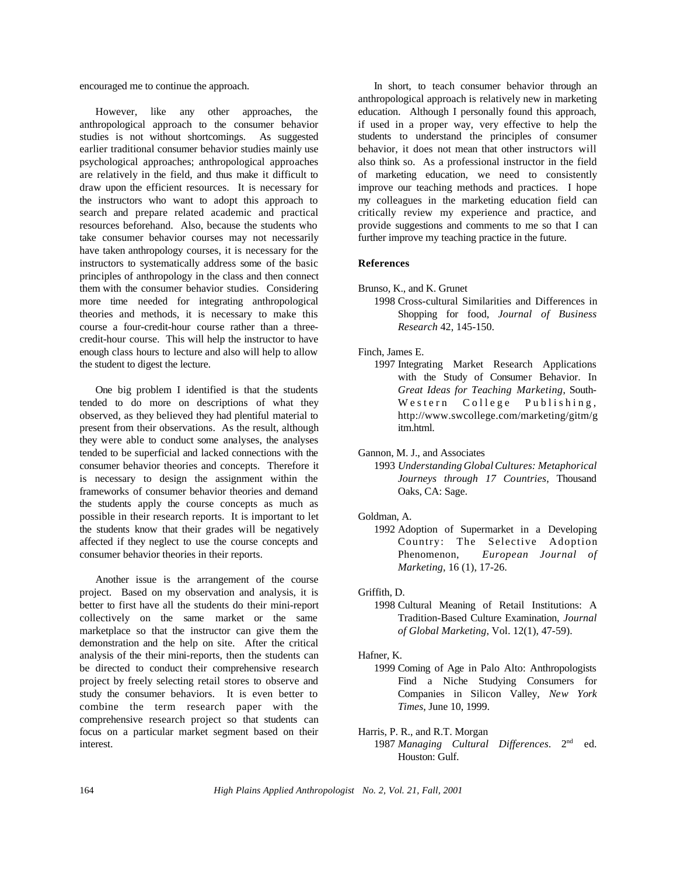encouraged me to continue the approach.

However, like any other approaches, the anthropological approach to the consumer behavior studies is not without shortcomings. As suggested earlier traditional consumer behavior studies mainly use psychological approaches; anthropological approaches are relatively in the field, and thus make it difficult to draw upon the efficient resources. It is necessary for the instructors who want to adopt this approach to search and prepare related academic and practical resources beforehand. Also, because the students who take consumer behavior courses may not necessarily have taken anthropology courses, it is necessary for the instructors to systematically address some of the basic principles of anthropology in the class and then connect them with the consumer behavior studies. Considering more time needed for integrating anthropological theories and methods, it is necessary to make this course a four-credit-hour course rather than a threecredit-hour course. This will help the instructor to have enough class hours to lecture and also will help to allow the student to digest the lecture.

One big problem I identified is that the students tended to do more on descriptions of what they observed, as they believed they had plentiful material to present from their observations. As the result, although they were able to conduct some analyses, the analyses tended to be superficial and lacked connections with the consumer behavior theories and concepts. Therefore it is necessary to design the assignment within the frameworks of consumer behavior theories and demand the students apply the course concepts as much as possible in their research reports. It is important to let the students know that their grades will be negatively affected if they neglect to use the course concepts and consumer behavior theories in their reports.

Another issue is the arrangement of the course project. Based on my observation and analysis, it is better to first have all the students do their mini-report collectively on the same market or the same marketplace so that the instructor can give them the demonstration and the help on site. After the critical analysis of the their mini-reports, then the students can be directed to conduct their comprehensive research project by freely selecting retail stores to observe and study the consumer behaviors. It is even better to combine the term research paper with the comprehensive research project so that students can focus on a particular market segment based on their interest.

In short, to teach consumer behavior through an anthropological approach is relatively new in marketing education. Although I personally found this approach, if used in a proper way, very effective to help the students to understand the principles of consumer behavior, it does not mean that other instructors will also think so. As a professional instructor in the field of marketing education, we need to consistently improve our teaching methods and practices. I hope my colleagues in the marketing education field can critically review my experience and practice, and provide suggestions and comments to me so that I can further improve my teaching practice in the future.

## **References**

- Brunso, K., and K. Grunet
	- 1998 Cross-cultural Similarities and Differences in Shopping for food, *Journal of Business Research* 42, 145-150.

## Finch, James E.

1997 Integrating Market Research Applications with the Study of Consumer Behavior. In *Great Ideas for Teaching Marketing*, South-Western College Publishing, http://www.swcollege.com/marketing/gitm/g itm.html.

Gannon, M. J., and Associates

1993 *Understanding GlobalCultures: Metaphorical Journeys through 17 Countries*, Thousand Oaks, CA: Sage.

#### Goldman, A.

1992 Adoption of Supermarket in a Developing Country: The Selective Adoption Phenomenon, *European Journal of Marketing*, 16 (1), 17-26.

#### Griffith, D.

1998 Cultural Meaning of Retail Institutions: A Tradition-Based Culture Examination, *Journal of Global Marketing*, Vol. 12(1), 47-59).

#### Hafner, K.

- 1999 Coming of Age in Palo Alto: Anthropologists Find a Niche Studying Consumers for Companies in Silicon Valley, *New York Times*, June 10, 1999.
- Harris, P. R., and R.T. Morgan
	- 1987 *Managing Cultural Differences*. 2 nd ed. Houston: Gulf.